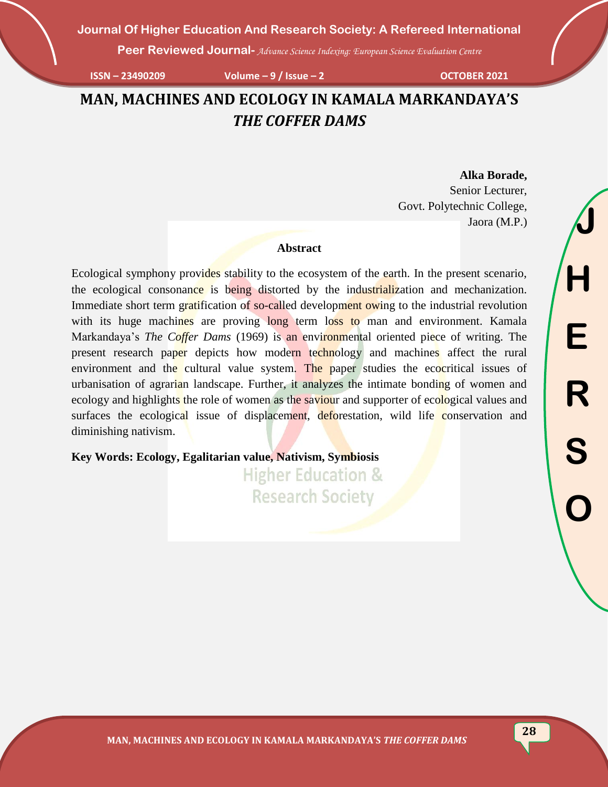**Peer Reviewed Journal-** *Advance Science Indexing: European Science Evaluation Centre*

**ISSN – 23490209 Volume – 9 / Issue – 2 OCTOBER 2021**

## **MAN, MACHINES AND ECOLOGY IN KAMALA MARKANDAYA'S**  *THE COFFER DAMS*

# **Alka Borade,**

Senior Lecturer, Govt. Polytechnic College, Jaora (M.P.)

#### **Abstract**

Ecological symphony provides stability to the ecosystem of the earth. In the present scenario, the ecological consonance is being distorted by the industrialization and mechanization. Immediate short term gratification of so-called development owing to the industrial revolution with its huge machines are proving long term loss to man and environment. Kamala Markandaya's *The Coffer Dams* (1969) is an environmental oriented piece of writing. The present research paper depicts how modern technology and machines affect the rural environment and the cultural value system. The paper studies the ecocritical issues of urbanisation of agrarian landscape. Further, it analyzes the intimate bonding of women and ecology and highlights the role of women as the saviour and supporter of ecological values and surfaces the ecological issue of displacement, deforestation, wild life conservation and diminishing nativism.

**Key Words: Ecology, Egalitarian value, Nativism, Symbiosis**

**Higher Education & Research Society** 

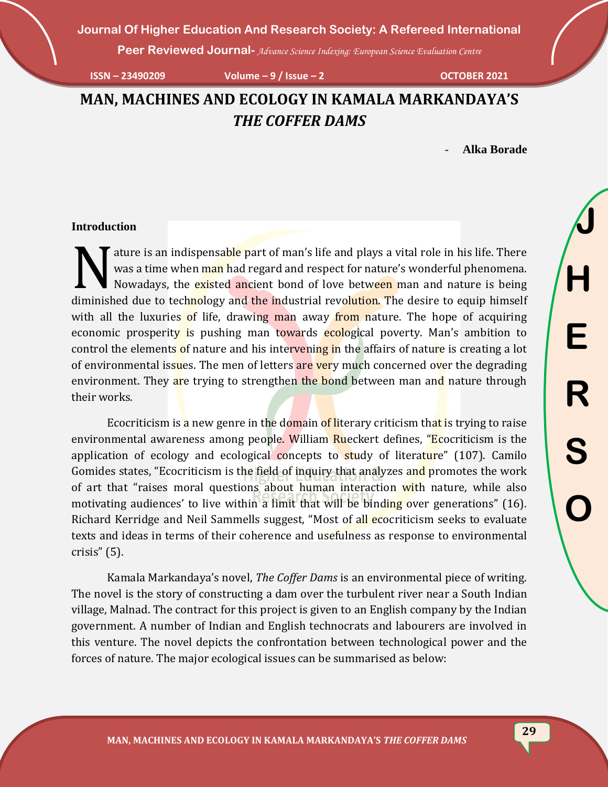**Peer Reviewed Journal-** *Advance Science Indexing: European Science Evaluation Centre*

**ISSN – 23490209 Volume – 9 / Issue – 2 OCTOBER 2021**

**MAN, MACHINES AND ECOLOGY IN KAMALA MARKANDAYA'S**  *THE COFFER DAMS*

- **Alka Borade**

#### **Introduction**

ature is an indispensable part of man's life and plays a vital role in his life. There was a time when man had regard and respect for nature's wonderful phenomena. Nowadays, the existed ancient bond of love between man and nature is being dure is an indispensable part of man's life and plays a vital role in his life. There was a time when man had regard and respect for nature's wonderful phenomena.<br>Nowadays, the existed ancient bond of love between man and with all the luxuries of life, drawing man away from nature. The hope of acquiring economic prosperity is pushing man towards ecological poverty. Man's ambition to control the elements of nature and his intervening in the affairs of nature is creating a lot of environmental issues. The men of letters are very much concerned over the degrading environment. They are trying to strengthen the bond between man and nature through their works.

Ecocriticism is a new genre in the domain of literary criticism that is trying to raise environmental awareness among people. William Rueckert defines, "Ecocriticism is the application of ecology and ecological concepts to study of literature" (107). Camilo Gomides states, "Ecocriticism is the field of inquiry that analyzes and promotes the work of art that "raises moral questions about human interaction with nature, while also motivating audiences' to live within a limit that will be binding over generations" (16). Richard Kerridge and Neil Sammells suggest, "Most of all ecocriticism seeks to evaluate texts and ideas in terms of their coherence and usefulness as response to environmental crisis" (5).

Kamala Markandaya's novel, *The Coffer Dams* is an environmental piece of writing. The novel is the story of constructing a dam over the turbulent river near a South Indian village, Malnad. The contract for this project is given to an English company by the Indian government. A number of Indian and English technocrats and labourers are involved in this venture. The novel depicts the confrontation between technological power and the forces of nature. The major ecological issues can be summarised as below: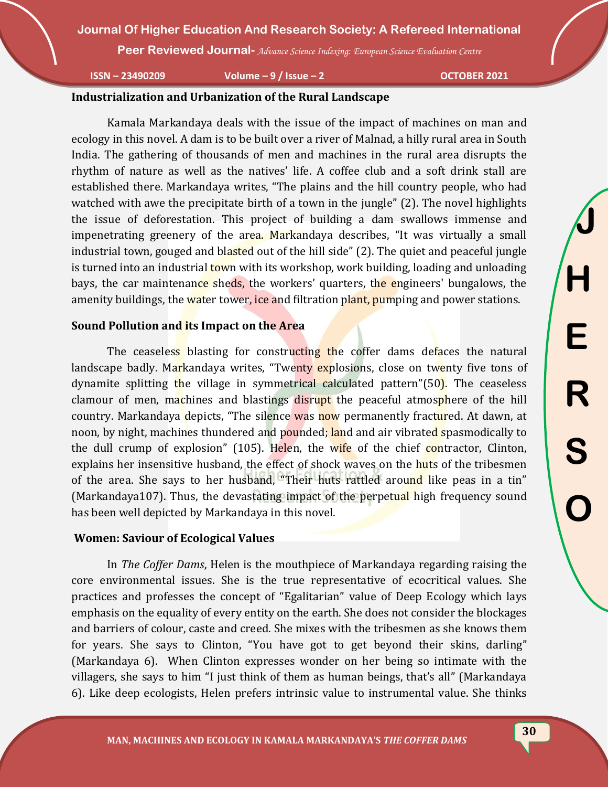**Peer Reviewed Journal-** *Advance Science Indexing: European Science Evaluation Centre*

**ISSN – 23490209 Volume – 9 / Issue – 2 OCTOBER 2021**

#### **Industrialization and Urbanization of the Rural Landscape**

Kamala Markandaya deals with the issue of the impact of machines on man and ecology in this novel. A dam is to be built over a river of Malnad, a hilly rural area in South India. The gathering of thousands of men and machines in the rural area disrupts the rhythm of nature as well as the natives' life. A coffee club and a soft drink stall are established there. Markandaya writes, "The plains and the hill country people, who had watched with awe the precipitate birth of a town in the jungle" (2). The novel highlights the issue of deforestation. This project of building a dam swallows immense and impenetrating greenery of the area. Markandaya describes, "It was virtually a small industrial town, gouged and blasted out of the hill side" (2). The quiet and peaceful jungle is turned into an industrial **town** with its workshop, work building, loading and unloading bays, the car maintenance sheds, the workers' quarters, the engineers' bungalows, the amenity buildings, the water tower, ice and filtration plant, pumping and power stations.

#### **Sound Pollution and its Impact on the Area**

The ceaseless blasting for constructing the coffer dams defaces the natural landscape badly. Markandaya writes, "Twenty explosions, close on twenty five tons of dynamite splitting the village in symmetrical calculated pattern"(50). The ceaseless clamour of men, machines and blastings disrupt the peaceful atmosphere of the hill country. Markandaya depicts, "The silence was now permanently fractured. At dawn, at noon, by night, machines thundered and pounded; land and air vibrated spasmodically to the dull crump of explosion" (105). Helen, the wife of the chief contractor, Clinton, explains her insensitive husband, the effect of shock waves on the huts of the tribesmen of the area. She says to her husband, "Their huts rattled around like peas in a tin" (Markandaya107). Thus, the devastating impact of the perpetual high frequency sound has been well depicted by Markandaya in this novel.

#### **Women: Saviour of Ecological Values**

In *The Coffer Dams*, Helen is the mouthpiece of Markandaya regarding raising the core environmental issues. She is the true representative of ecocritical values. She practices and professes the concept of "Egalitarian" value of Deep Ecology which lays emphasis on the equality of every entity on the earth. She does not consider the blockages and barriers of colour, caste and creed. She mixes with the tribesmen as she knows them for years. She says to Clinton, "You have got to get beyond their skins, darling" (Markandaya 6). When Clinton expresses wonder on her being so intimate with the villagers, she says to him "I just think of them as human beings, that's all" (Markandaya 6). Like deep ecologists, Helen prefers intrinsic value to instrumental value. She thinks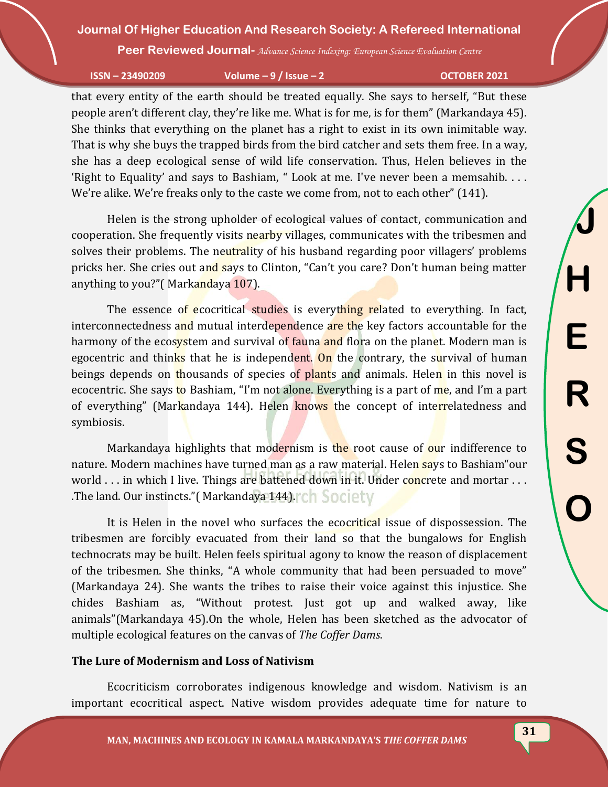**Peer Reviewed Journal-** *Advance Science Indexing: European Science Evaluation Centre*

**ISSN – 23490209 Volume – 9 / Issue – 2 OCTOBER 2021**

**J**

**H**

**E**

**R**

**S**

**O**

that every entity of the earth should be treated equally. She says to herself, "But these people aren't different clay, they're like me. What is for me, is for them" (Markandaya 45). She thinks that everything on the planet has a right to exist in its own inimitable way. That is why she buys the trapped birds from the bird catcher and sets them free. In a way, she has a deep ecological sense of wild life conservation. Thus, Helen believes in the 'Right to Equality' and says to Bashiam, " Look at me. I've never been a memsahib. . . . We're alike. We're freaks only to the caste we come from, not to each other" (141).

Helen is the strong upholder of ecological values of contact, communication and cooperation. She frequently visits nearby villages, communicates with the tribesmen and solves their problems. The neutrality of his husband regarding poor villagers' problems pricks her. She cries out and says to Clinton, "Can't you care? Don't human being matter anything to you?"( Markandaya 107).

The essence of ecocritical studies is everything related to everything. In fact, interconnectedness and mutual interdependence are the key factors accountable for the harmony of the ecosystem and survival of fauna and flora on the planet. Modern man is egocentric and thinks that he is independent. On the contrary, the survival of human beings depends on thousands of species of plants and animals. Helen in this novel is ecocentric. She says to Bashiam, "I'm not alone. Everything is a part of me, and I'm a part of everything" (Markandaya 144). Helen knows the concept of interrelatedness and symbiosis.

Markandaya highlights that modernism is the root cause of our indifference to nature. Modern machines have turned man as a raw material. Helen says to Bashiam "our world . . . in which I live. Things are battened down in it. Under concrete and mortar . . . .The land. Our instincts."( Markandaya 144).

It is Helen in the novel who surfaces the ecocritical issue of dispossession. The tribesmen are forcibly evacuated from their land so that the bungalows for English technocrats may be built. Helen feels spiritual agony to know the reason of displacement of the tribesmen. She thinks, "A whole community that had been persuaded to move" (Markandaya 24). She wants the tribes to raise their voice against this injustice. She chides Bashiam as, "Without protest. Just got up and walked away, like animals"(Markandaya 45).On the whole, Helen has been sketched as the advocator of multiple ecological features on the canvas of *The Coffer Dams*.

#### **The Lure of Modernism and Loss of Nativism**

Ecocriticism corroborates indigenous knowledge and wisdom. Nativism is an important ecocritical aspect. Native wisdom provides adequate time for nature to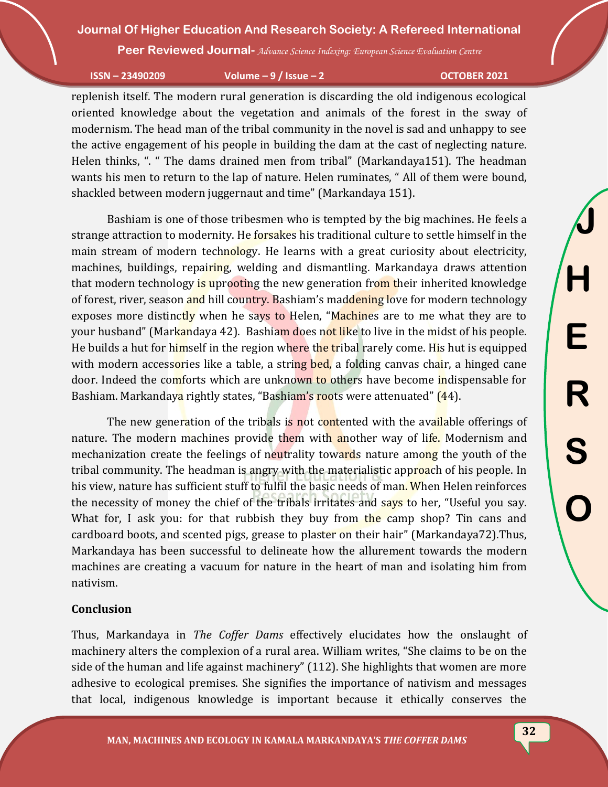**Peer Reviewed Journal-** *Advance Science Indexing: European Science Evaluation Centre*

**ISSN – 23490209 Volume – 9 / Issue – 2 OCTOBER 2021**

**J**

**H**

**E**

**R**

**S**

**O**

replenish itself. The modern rural generation is discarding the old indigenous ecological oriented knowledge about the vegetation and animals of the forest in the sway of modernism. The head man of the tribal community in the novel is sad and unhappy to see the active engagement of his people in building the dam at the cast of neglecting nature. Helen thinks, ". " The dams drained men from tribal" (Markandaya151). The headman wants his men to return to the lap of nature. Helen ruminates, " All of them were bound, shackled between modern juggernaut and time" (Markandaya 151).

Bashiam is one of those tribesmen who is tempted by the big machines. He feels a strange attraction to modernity. He forsakes his traditional culture to settle himself in the main stream of modern technology. He learns with a great curiosity about electricity, machines, buildings, repairing, welding and dismantling. Markandaya draws attention that modern technology is uprooting the new generation from their inherited knowledge of forest, river, season and hill country. Bashiam's maddening love for modern technology exposes more distinctly when he says to Helen, "Machines are to me what they are to your husband" (Markandaya 42). Bashiam does not like to live in the midst of his people. He builds a hut for himself in the region where the tribal rarely come. His hut is equipped with modern accessories like a table, a string bed, a folding canvas chair, a hinged cane door. Indeed the comforts which are unknown to others have become indispensable for Bashiam. Markandaya rightly states, "Bashiam's roots were attenuated" (44).

The new generation of the tribals is not contented with the available offerings of nature. The modern machines provide them with another way of life. Modernism and mechanization create the feelings of neutrality towards nature among the youth of the tribal community. The headman is angry with the materialistic approach of his people. In his view, nature has sufficient stuff to fulfil the basic needs of man. When Helen reinforces the necessity of money the chief of the tribals irritates and says to her, "Useful you say. What for, I ask you: for that rubbish they buy from the camp shop? Tin cans and cardboard boots, and scented pigs, grease to plaster on their hair" (Markandaya72).Thus, Markandaya has been successful to delineate how the allurement towards the modern machines are creating a vacuum for nature in the heart of man and isolating him from nativism.

#### **Conclusion**

Thus, Markandaya in *The Coffer Dams* effectively elucidates how the onslaught of machinery alters the complexion of a rural area. William writes, "She claims to be on the side of the human and life against machinery" (112). She highlights that women are more adhesive to ecological premises. She signifies the importance of nativism and messages that local, indigenous knowledge is important because it ethically conserves the